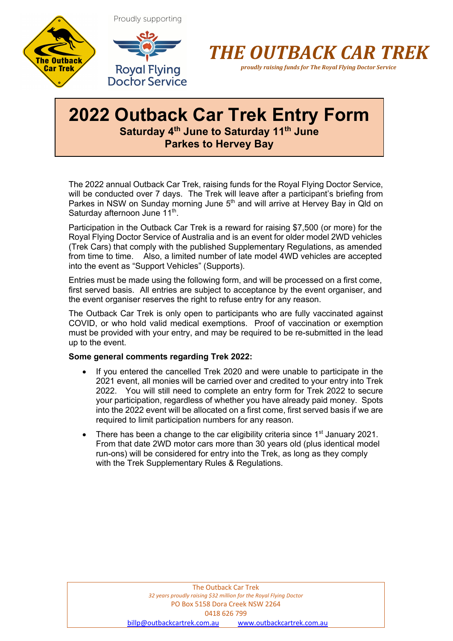





*proudly raising funds for The Royal Flying Doctor Service*

### **2022 Outback Car Trek Entry Form Saturday 4th June to Saturday 11th June Parkes to Hervey Bay**

The 2022 annual Outback Car Trek, raising funds for the Royal Flying Doctor Service, will be conducted over 7 days. The Trek will leave after a participant's briefing from Parkes in NSW on Sunday morning June  $5<sup>th</sup>$  and will arrive at Hervey Bay in Qld on Saturday afternoon June 11<sup>th</sup>.

Participation in the Outback Car Trek is a reward for raising \$7,500 (or more) for the Royal Flying Doctor Service of Australia and is an event for older model 2WD vehicles (Trek Cars) that comply with the published Supplementary Regulations, as amended from time to time. Also, a limited number of late model 4WD vehicles are accepted into the event as "Support Vehicles" (Supports).

Entries must be made using the following form, and will be processed on a first come, first served basis. All entries are subject to acceptance by the event organiser, and the event organiser reserves the right to refuse entry for any reason.

The Outback Car Trek is only open to participants who are fully vaccinated against COVID, or who hold valid medical exemptions. Proof of vaccination or exemption must be provided with your entry, and may be required to be re-submitted in the lead up to the event.

#### **Some general comments regarding Trek 2022:**

- If you entered the cancelled Trek 2020 and were unable to participate in the 2021 event, all monies will be carried over and credited to your entry into Trek 2022. You will still need to complete an entry form for Trek 2022 to secure your participation, regardless of whether you have already paid money. Spots into the 2022 event will be allocated on a first come, first served basis if we are required to limit participation numbers for any reason.
- There has been a change to the car eligibility criteria since 1<sup>st</sup> January 2021. From that date 2WD motor cars more than 30 years old (plus identical model run-ons) will be considered for entry into the Trek, as long as they comply with the Trek Supplementary Rules & Regulations.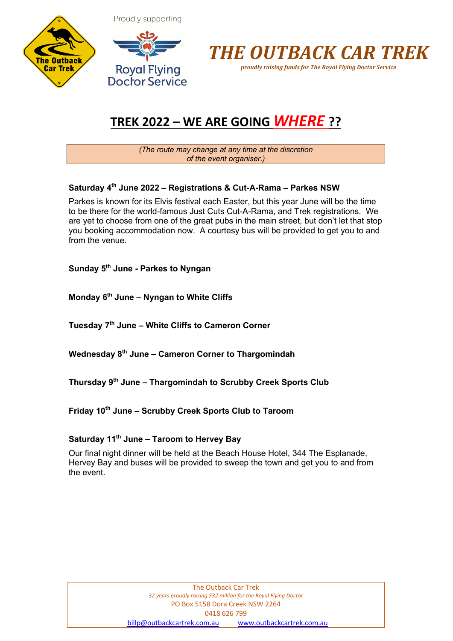





### **TREK 2022 – WE ARE GOING** *WHERE* **??**

*(The route may change at any time at the discretion of the event organiser.)*

### **Saturday 4th June 2022 – Registrations & Cut-A-Rama – Parkes NSW**

Parkes is known for its Elvis festival each Easter, but this year June will be the time to be there for the world-famous Just Cuts Cut-A-Rama, and Trek registrations. We are yet to choose from one of the great pubs in the main street, but don't let that stop you booking accommodation now. A courtesy bus will be provided to get you to and from the venue.

**Sunday 5th June - Parkes to Nyngan**

**Monday 6th June – Nyngan to White Cliffs**

**Tuesday 7th June – White Cliffs to Cameron Corner**

**Wednesday 8th June – Cameron Corner to Thargomindah**

**Thursday 9th June – Thargomindah to Scrubby Creek Sports Club**

**Friday 10th June – Scrubby Creek Sports Club to Taroom**

#### **Saturday 11th June – Taroom to Hervey Bay**

Our final night dinner will be held at the Beach House Hotel, 344 The Esplanade, Hervey Bay and buses will be provided to sweep the town and get you to and from the event.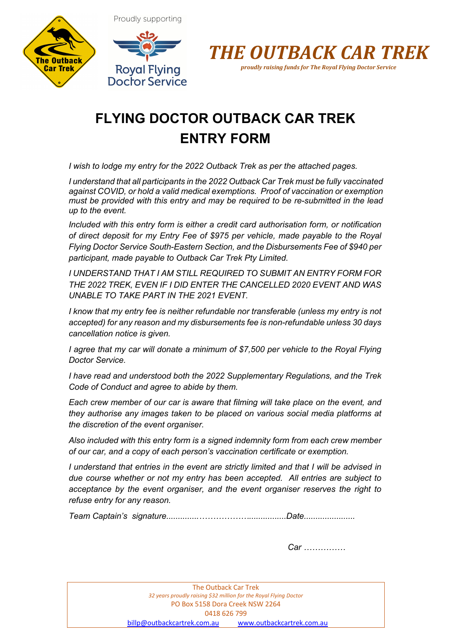





## **FLYING DOCTOR OUTBACK CAR TREK ENTRY FORM**

*I wish to lodge my entry for the 2022 Outback Trek as per the attached pages.* 

*I understand that all participants in the 2022 Outback Car Trek must be fully vaccinated against COVID, or hold a valid medical exemptions. Proof of vaccination or exemption must be provided with this entry and may be required to be re-submitted in the lead up to the event.*

*Included with this entry form is either a credit card authorisation form, or notification of direct deposit for my Entry Fee of \$975 per vehicle, made payable to the Royal Flying Doctor Service South-Eastern Section, and the Disbursements Fee of \$940 per participant, made payable to Outback Car Trek Pty Limited.*

*I UNDERSTAND THAT I AM STILL REQUIRED TO SUBMIT AN ENTRY FORM FOR THE 2022 TREK, EVEN IF I DID ENTER THE CANCELLED 2020 EVENT AND WAS UNABLE TO TAKE PART IN THE 2021 EVENT.*

*I know that my entry fee is neither refundable nor transferable (unless my entry is not accepted) for any reason and my disbursements fee is non-refundable unless 30 days cancellation notice is given.*

*I agree that my car will donate a minimum of \$7,500 per vehicle to the Royal Flying Doctor Service.*

*I have read and understood both the 2022 Supplementary Regulations, and the Trek Code of Conduct and agree to abide by them.* 

*Each crew member of our car is aware that filming will take place on the event, and they authorise any images taken to be placed on various social media platforms at the discretion of the event organiser.* 

*Also included with this entry form is a signed indemnity form from each crew member of our car, and a copy of each person's vaccination certificate or exemption.*

*I understand that entries in the event are strictly limited and that I will be advised in due course whether or not my entry has been accepted. All entries are subject to acceptance by the event organiser, and the event organiser reserves the right to refuse entry for any reason.*

*Team Captain's signature..............………………................Date......................*

*Car ……………*

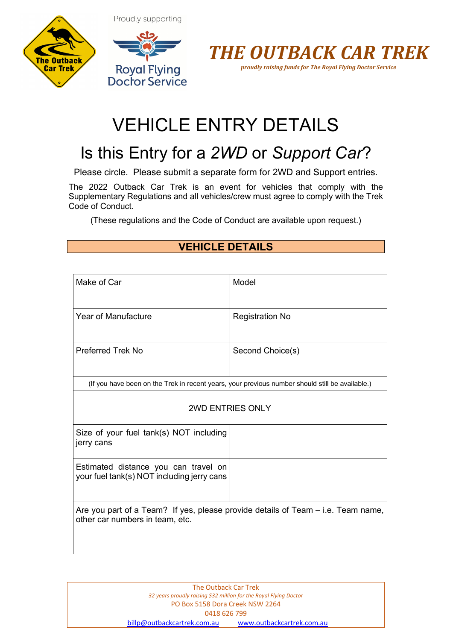Proudly supporting







# VEHICLE ENTRY DETAILS

## Is this Entry for a *2WD* or *Support Car*?

Please circle. Please submit a separate form for 2WD and Support entries.

The 2022 Outback Car Trek is an event for vehicles that comply with the Supplementary Regulations and all vehicles/crew must agree to comply with the Trek Code of Conduct.

(These regulations and the Code of Conduct are available upon request.)

### **VEHICLE DETAILS**

| Make of Car                                                                                                         | Model                                                                                           |  |
|---------------------------------------------------------------------------------------------------------------------|-------------------------------------------------------------------------------------------------|--|
| <b>Year of Manufacture</b>                                                                                          | <b>Registration No</b>                                                                          |  |
| <b>Preferred Trek No</b>                                                                                            | Second Choice(s)                                                                                |  |
|                                                                                                                     | (If you have been on the Trek in recent years, your previous number should still be available.) |  |
| <b>2WD ENTRIES ONLY</b>                                                                                             |                                                                                                 |  |
| Size of your fuel tank(s) NOT including<br>jerry cans                                                               |                                                                                                 |  |
| Estimated distance you can travel on<br>your fuel tank(s) NOT including jerry cans                                  |                                                                                                 |  |
| Are you part of a Team? If yes, please provide details of Team – i.e. Team name,<br>other car numbers in team, etc. |                                                                                                 |  |

| The Outback Car Trek                                              |                           |  |  |
|-------------------------------------------------------------------|---------------------------|--|--|
| 32 years proudly raising \$32 million for the Royal Flying Doctor |                           |  |  |
| PO Box 5158 Dora Creek NSW 2264                                   |                           |  |  |
| 0418 626 799                                                      |                           |  |  |
| billp@outbackcartrek.com.au                                       | www.outbackcartrek.com.au |  |  |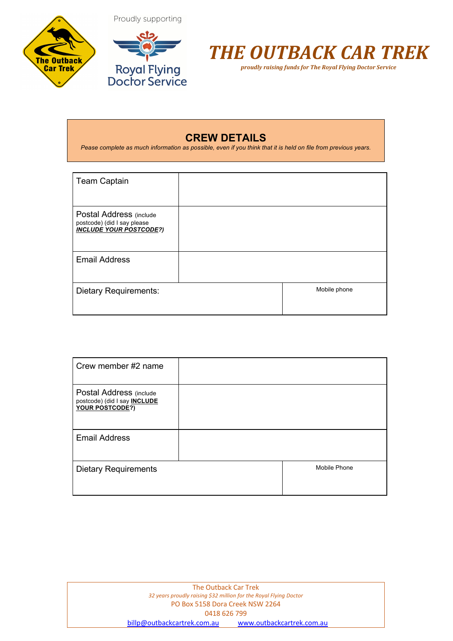





*proudly raising funds for The Royal Flying Doctor Service*

### **CREW DETAILS**

Pease complete as much information as possible, even if you think that it is held on file from previous years.

| <b>Team Captain</b>                                                                      |              |
|------------------------------------------------------------------------------------------|--------------|
| Postal Address (include<br>postcode) (did I say please<br><b>INCLUDE YOUR POSTCODE?)</b> |              |
| <b>Email Address</b>                                                                     |              |
| <b>Dietary Requirements:</b>                                                             | Mobile phone |

| Crew member #2 name                                                               |              |
|-----------------------------------------------------------------------------------|--------------|
| Postal Address (include<br>postcode) (did I say <b>INCLUDE</b><br>YOUR POSTCODE?) |              |
| <b>Email Address</b>                                                              |              |
| <b>Dietary Requirements</b>                                                       | Mobile Phone |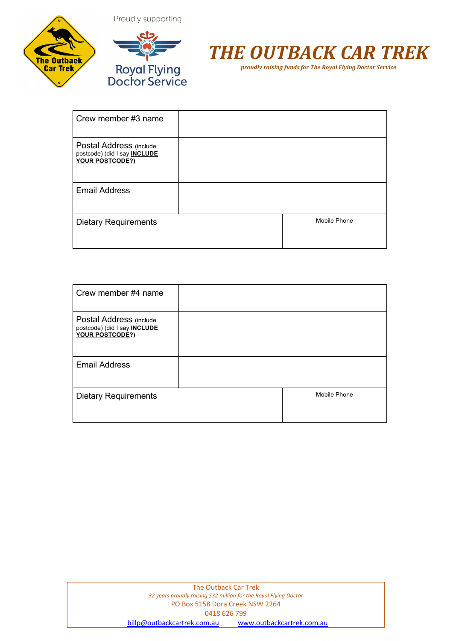



## *THE OUTBACK CAR TREK*

*proudly raising funds for The Royal Flying Doctor Service*

| Crew member #3 name                                                               |              |
|-----------------------------------------------------------------------------------|--------------|
| Postal Address (include<br>postcode) (did I say <b>INCLUDE</b><br>YOUR POSTCODE?) |              |
| <b>Email Address</b>                                                              |              |
| <b>Dietary Requirements</b>                                                       | Mobile Phone |

| Crew member #4 name                                                               |              |
|-----------------------------------------------------------------------------------|--------------|
| Postal Address (include<br>postcode) (did I say <b>INCLUDE</b><br>YOUR POSTCODE?) |              |
| <b>Email Address</b>                                                              |              |
| <b>Dietary Requirements</b>                                                       | Mobile Phone |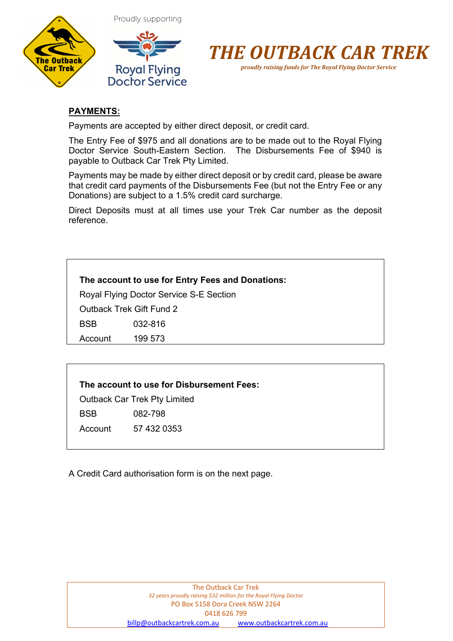





### **PAYMENTS:**

Payments are accepted by either direct deposit, or credit card.

The Entry Fee of \$975 and all donations are to be made out to the Royal Flying Doctor Service South-Eastern Section. The Disbursements Fee of \$940 is payable to Outback Car Trek Pty Limited.

Payments may be made by either direct deposit or by credit card, please be aware that credit card payments of the Disbursements Fee (but not the Entry Fee or any Donations) are subject to a 1.5% credit card surcharge.

Direct Deposits must at all times use your Trek Car number as the deposit reference.

Royal Flying Doctor Service S-E Section

Outback Trek Gift Fund 2

BSB 032-816

Account 199 573

### **The account to use for Disbursement Fees:**

Outback Car Trek Pty Limited

BSB 082-798

Account 57 432 0353

A Credit Card authorisation form is on the next page.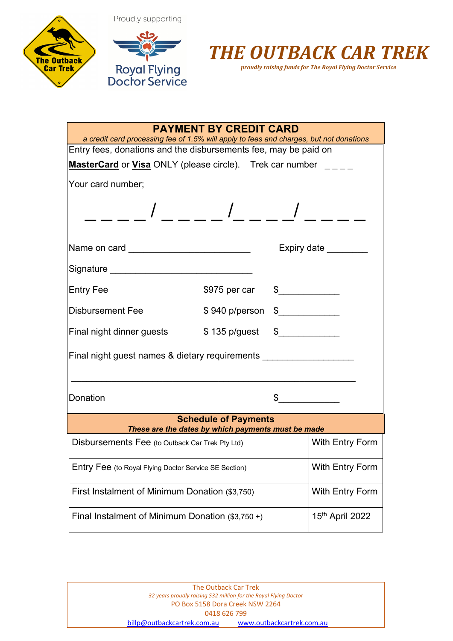





| <b>PAYMENT BY CREDIT CARD</b><br>a credit card processing fee of 1.5% will apply to fees and charges, but not donations |                                                                                                                 |                        |                 |
|-------------------------------------------------------------------------------------------------------------------------|-----------------------------------------------------------------------------------------------------------------|------------------------|-----------------|
| Entry fees, donations and the disbursements fee, may be paid on                                                         |                                                                                                                 |                        |                 |
| MasterCard or Visa ONLY (please circle). Trek car number                                                                |                                                                                                                 |                        |                 |
| Your card number;                                                                                                       |                                                                                                                 |                        |                 |
|                                                                                                                         | $\frac{1}{2}$ $\frac{1}{2}$ $\frac{1}{2}$ $\frac{1}{2}$ $\frac{1}{2}$ $\frac{1}{2}$ $\frac{1}{2}$ $\frac{1}{2}$ |                        |                 |
| Name on card ____________________________                                                                               |                                                                                                                 |                        | Expiry date     |
| Signature _________________________________                                                                             |                                                                                                                 |                        |                 |
| Entry Fee                                                                                                               | \$975 per car                                                                                                   | $\frac{1}{2}$          |                 |
| Disbursement Fee                                                                                                        | \$940 p/person                                                                                                  | $\frac{1}{2}$          |                 |
| Final night dinner guests \$135 p/guest                                                                                 |                                                                                                                 | $\frac{1}{2}$          |                 |
| Final night guest names & dietary requirements                                                                          |                                                                                                                 |                        |                 |
| Donation                                                                                                                |                                                                                                                 | $\frac{1}{2}$          |                 |
|                                                                                                                         | <b>Schedule of Payments</b><br>These are the dates by which payments must be made                               |                        |                 |
| Disbursements Fee (to Outback Car Trek Pty Ltd)                                                                         |                                                                                                                 |                        | With Entry Form |
| Entry Fee (to Royal Flying Doctor Service SE Section)                                                                   |                                                                                                                 |                        | With Entry Form |
| First Instalment of Minimum Donation (\$3,750)                                                                          |                                                                                                                 | <b>With Entry Form</b> |                 |
| Final Instalment of Minimum Donation $(\$3,750+)$                                                                       |                                                                                                                 |                        | 15th April 2022 |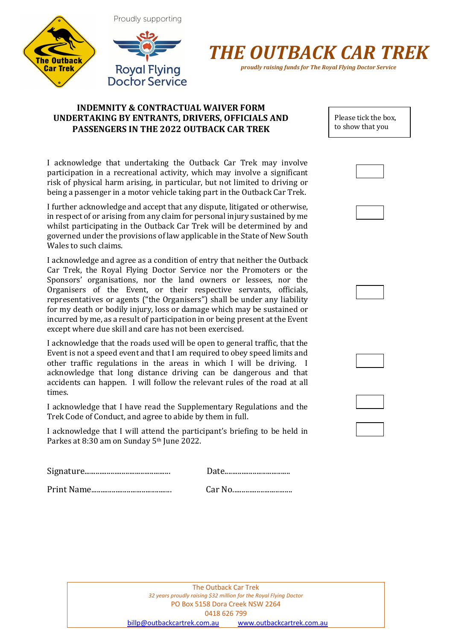



*proudly raising funds for The Royal Flying Doctor Service*

### **INDEMNITY & CONTRACTUAL WAIVER FORM UNDERTAKING BY ENTRANTS, DRIVERS, OFFICIALS AND PASSENGERS IN THE 2022 OUTBACK CAR TREK**

I acknowledge that undertaking the Outback Car Trek may involve participation in a recreational activity, which may involve a significant risk of physical harm arising, in particular, but not limited to driving or being a passenger in a motor vehicle taking part in the Outback Car Trek.

I further acknowledge and accept that any dispute, litigated or otherwise, in respect of or arising from any claim for personal injury sustained by me whilst participating in the Outback Car Trek will be determined by and governed under the provisions of law applicable in the State of New South Wales to such claims.

I acknowledge and agree as a condition of entry that neither the Outback Car Trek, the Royal Flying Doctor Service nor the Promoters or the Sponsors' organisations, nor the land owners or lessees, nor the Organisers of the Event, or their respective servants, officials, representatives or agents ("the Organisers") shall be under any liability for my death or bodily injury, loss or damage which may be sustained or incurred by me, as a result of participation in or being present at the Event except where due skill and care has not been exercised.

I acknowledge that the roads used will be open to general traffic, that the Event is not a speed event and that I am required to obey speed limits and other traffic regulations in the areas in which I will be driving. I acknowledge that long distance driving can be dangerous and that accidents can happen. I will follow the relevant rules of the road at all times.

I acknowledge that I have read the Supplementary Regulations and the Trek Code of Conduct, and agree to abide by them in full.

I acknowledge that I will attend the participant's briefing to be held in Parkes at 8:30 am on Sunday 5<sup>th</sup> June 2022.

| ւԵ………………………………… |
|-----------------|
|                 |

Print Name........................................... Car No................................

| The Outback Car Trek                                              |                           |  |  |
|-------------------------------------------------------------------|---------------------------|--|--|
| 32 years proudly raising \$32 million for the Royal Flying Doctor |                           |  |  |
| PO Box 5158 Dora Creek NSW 2264                                   |                           |  |  |
| 0418 626 799                                                      |                           |  |  |
| billp@outbackcartrek.com.au                                       | www.outbackcartrek.com.au |  |  |

Please tick the box, to show that you agree.<br>agreement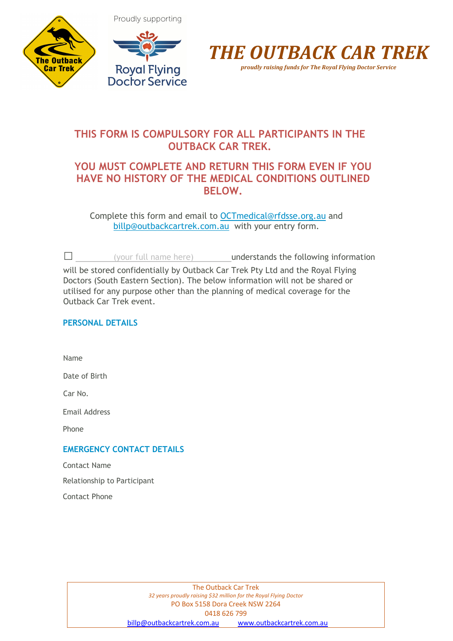







### **THIS FORM IS COMPULSORY FOR ALL PARTICIPANTS IN THE OUTBACK CAR TREK.**

### **YOU MUST COMPLETE AND RETURN THIS FORM EVEN IF YOU HAVE NO HISTORY OF THE MEDICAL CONDITIONS OUTLINED BELOW.**

Complete this form and email to OCTmedical@rfdsse.org.au and billp@outbackcartrek.com.au with your entry form.

 $\Box$  (your full name here) understands the following information will be stored confidentially by Outback Car Trek Pty Ltd and the Royal Flying Doctors (South Eastern Section). The below information will not be shared or utilised for any purpose other than the planning of medical coverage for the Outback Car Trek event.

### **PERSONAL DETAILS**

Name

Date of Birth

Car No.

Email Address

Phone

### **EMERGENCY CONTACT DETAILS**

Contact Name

Relationship to Participant

Contact Phone

The Outback Car Trek *32 years proudly raising \$32 million for the Royal Flying Doctor* PO Box 5158 Dora Creek NSW 2264 0418 626 799 billp@outbackcartrek.com.au www.outbackcartrek.com.au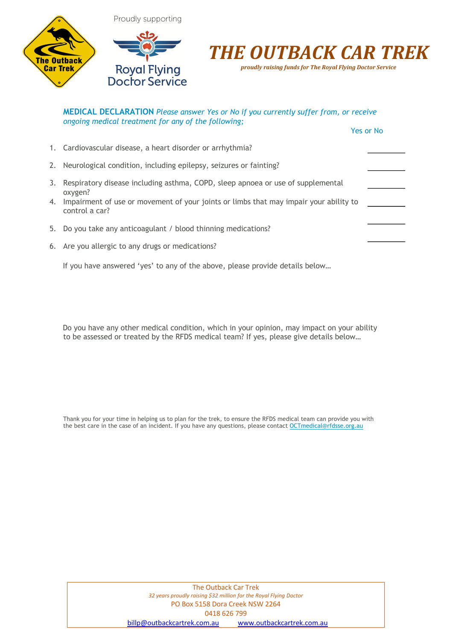

## *THE OUTBACK CAR TREK*

*proudly raising funds for The Royal Flying Doctor Service*

| <b>MEDICAL DECLARATION</b> Please answer Yes or No if you currently suffer from, or receive<br>ongoing medical treatment for any of the following;                                                          |           |
|-------------------------------------------------------------------------------------------------------------------------------------------------------------------------------------------------------------|-----------|
|                                                                                                                                                                                                             | Yes or No |
| 1. Cardiovascular disease, a heart disorder or arrhythmia?                                                                                                                                                  |           |
| 2. Neurological condition, including epilepsy, seizures or fainting?                                                                                                                                        |           |
| 3. Respiratory disease including asthma, COPD, sleep apnoea or use of supplemental<br>oxygen?<br>4. Impairment of use or movement of your joints or limbs that may impair your ability to<br>control a car? |           |
| 5. Do you take any anticoagulant / blood thinning medications?                                                                                                                                              |           |
| 6. Are you allergic to any drugs or medications?                                                                                                                                                            |           |
| If you have answered 'yes' to any of the above, please provide details below                                                                                                                                |           |

Do you have any other medical condition, which in your opinion, may impact on your ability to be assessed or treated by the RFDS medical team? If yes, please give details below…

Thank you for your time in helping us to plan for the trek, to ensure the RFDS medical team can provide you with the best care in the case of an incident. If you have any questions, please contact OCTmedical@rfdsse.org.au